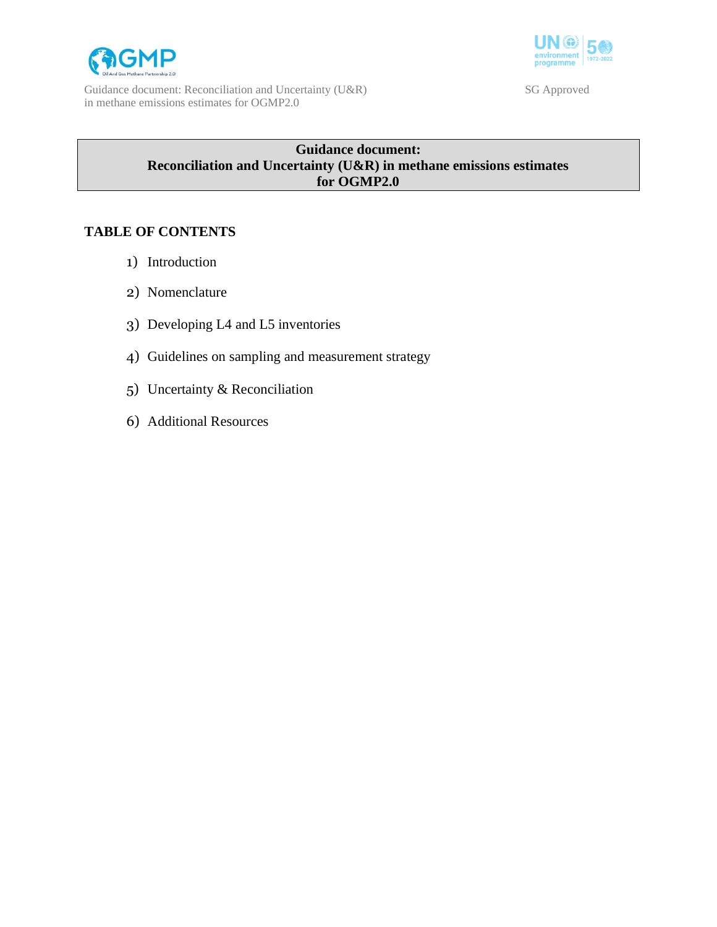

Guidance document: Reconciliation and Uncertainty (U&R) SG Approved in methane emissions estimates for OGMP2.0



# **Guidance document: Reconciliation and Uncertainty (U&R) in methane emissions estimates for OGMP2.0**

# **TABLE OF CONTENTS**

- 1) Introduction
- 2) Nomenclature
- 3) Developing L4 and L5 inventories
- 4) Guidelines on sampling and measurement strategy
- 5) Uncertainty & Reconciliation
- 6) Additional Resources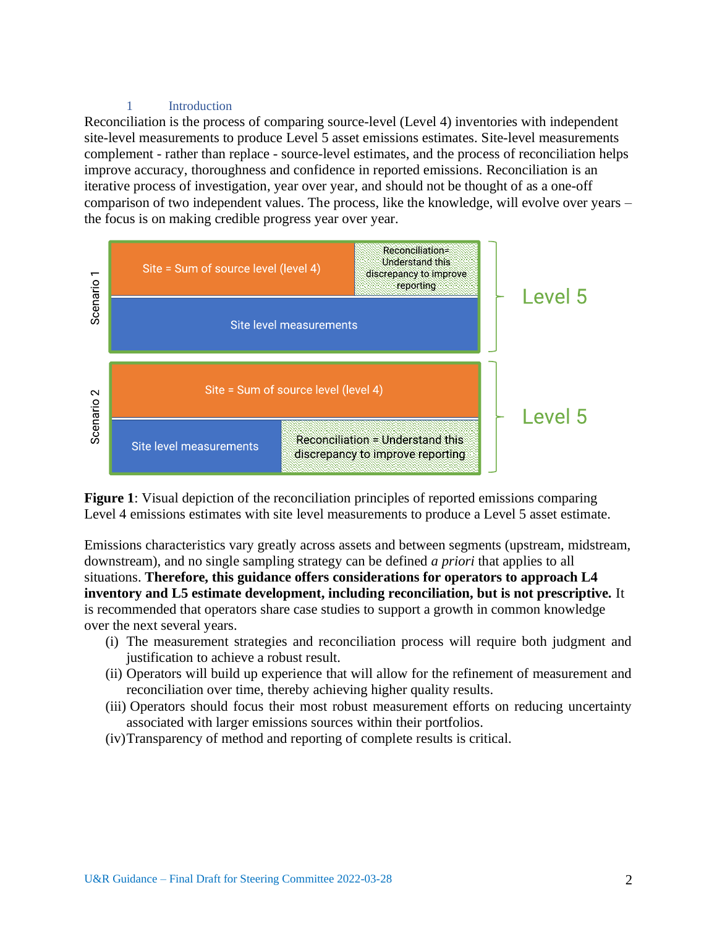### 1 Introduction

Reconciliation is the process of comparing source-level (Level 4) inventories with independent site-level measurements to produce Level 5 asset emissions estimates. Site-level measurements complement - rather than replace - source-level estimates, and the process of reconciliation helps improve accuracy, thoroughness and confidence in reported emissions. Reconciliation is an iterative process of investigation, year over year, and should not be thought of as a one-off comparison of two independent values. The process, like the knowledge, will evolve over years – the focus is on making credible progress year over year.



**Figure 1**: Visual depiction of the reconciliation principles of reported emissions comparing Level 4 emissions estimates with site level measurements to produce a Level 5 asset estimate.

Emissions characteristics vary greatly across assets and between segments (upstream, midstream, downstream), and no single sampling strategy can be defined *a priori* that applies to all situations. **Therefore, this guidance offers considerations for operators to approach L4 inventory and L5 estimate development, including reconciliation, but is not prescriptive.** It is recommended that operators share case studies to support a growth in common knowledge over the next several years.

- (i) The measurement strategies and reconciliation process will require both judgment and justification to achieve a robust result.
- (ii) Operators will build up experience that will allow for the refinement of measurement and reconciliation over time, thereby achieving higher quality results.
- (iii) Operators should focus their most robust measurement efforts on reducing uncertainty associated with larger emissions sources within their portfolios.
- (iv)Transparency of method and reporting of complete results is critical.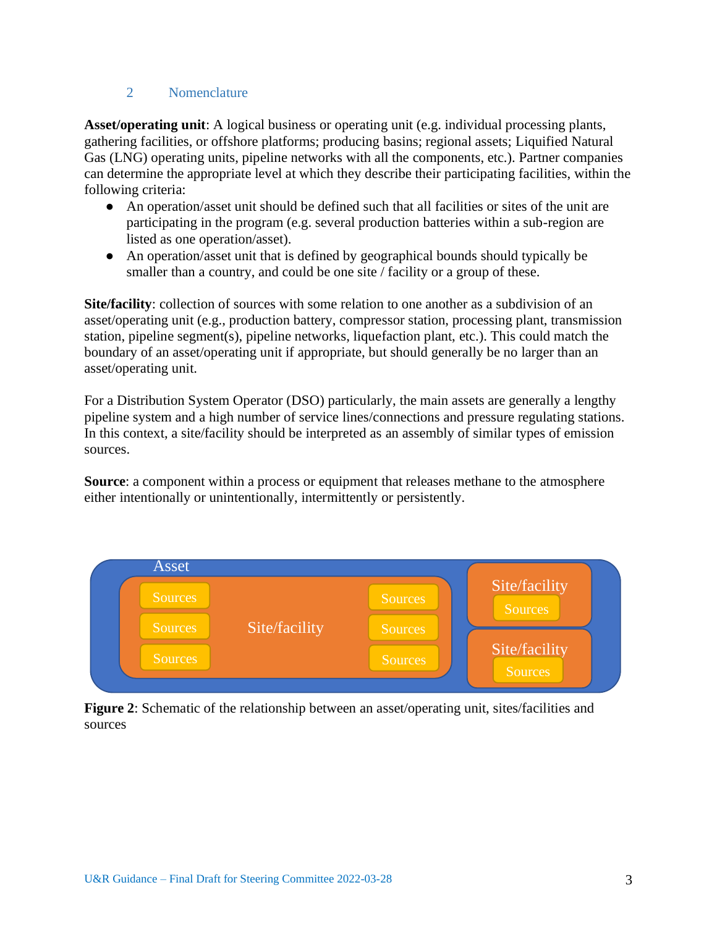# 2 Nomenclature

**Asset/operating unit**: A logical business or operating unit (e.g. individual processing plants, gathering facilities, or offshore platforms; producing basins; regional assets; Liquified Natural Gas (LNG) operating units, pipeline networks with all the components, etc.). Partner companies can determine the appropriate level at which they describe their participating facilities, within the following criteria:

- An operation/asset unit should be defined such that all facilities or sites of the unit are participating in the program (e.g. several production batteries within a sub-region are listed as one operation/asset).
- An operation/asset unit that is defined by geographical bounds should typically be smaller than a country, and could be one site / facility or a group of these.

**Site/facility**: collection of sources with some relation to one another as a subdivision of an asset/operating unit (e.g., production battery, compressor station, processing plant, transmission station, pipeline segment(s), pipeline networks, liquefaction plant, etc.). This could match the boundary of an asset/operating unit if appropriate, but should generally be no larger than an asset/operating unit.

For a Distribution System Operator (DSO) particularly, the main assets are generally a lengthy pipeline system and a high number of service lines/connections and pressure regulating stations. In this context, a site/facility should be interpreted as an assembly of similar types of emission sources.

**Source**: a component within a process or equipment that releases methane to the atmosphere either intentionally or unintentionally, intermittently or persistently.



**Figure 2**: Schematic of the relationship between an asset/operating unit, sites/facilities and sources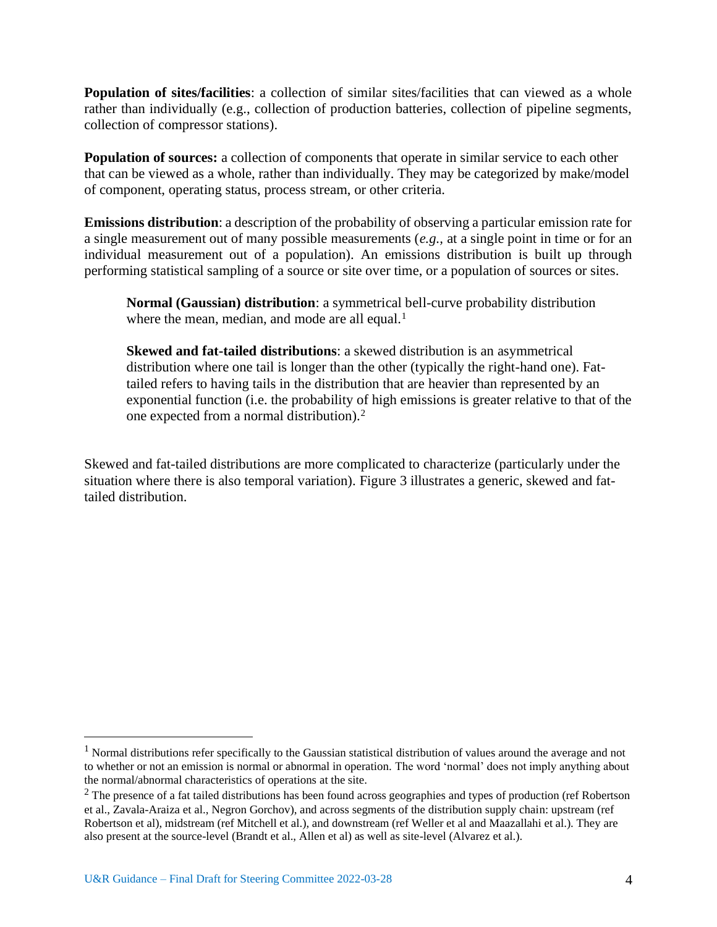**Population of sites/facilities**: a collection of similar sites/facilities that can viewed as a whole rather than individually (e.g., collection of production batteries, collection of pipeline segments, collection of compressor stations).

**Population of sources:** a collection of components that operate in similar service to each other that can be viewed as a whole, rather than individually. They may be categorized by make/model of component, operating status, process stream, or other criteria.

**Emissions distribution**: a description of the probability of observing a particular emission rate for a single measurement out of many possible measurements (*e.g.,* at a single point in time or for an individual measurement out of a population). An emissions distribution is built up through performing statistical sampling of a source or site over time, or a population of sources or sites.

**Normal (Gaussian) distribution**: a symmetrical bell-curve probability distribution where the mean, median, and mode are all equal. $<sup>1</sup>$ </sup>

**Skewed and fat-tailed distributions**: a skewed distribution is an asymmetrical distribution where one tail is longer than the other (typically the right-hand one). Fattailed refers to having tails in the distribution that are heavier than represented by an exponential function (i.e. the probability of high emissions is greater relative to that of the one expected from a normal distribution).<sup>2</sup>

Skewed and fat-tailed distributions are more complicated to characterize (particularly under the situation where there is also temporal variation). Figure 3 illustrates a generic, skewed and fattailed distribution.

<sup>&</sup>lt;sup>1</sup> Normal distributions refer specifically to the Gaussian statistical distribution of values around the average and not to whether or not an emission is normal or abnormal in operation. The word 'normal' does not imply anything about the normal/abnormal characteristics of operations at the site.

<sup>&</sup>lt;sup>2</sup> The presence of a fat tailed distributions has been found across geographies and types of production (ref Robertson et al., Zavala-Araiza et al., Negron Gorchov), and across segments of the distribution supply chain: upstream (ref Robertson et al), midstream (ref Mitchell et al.), and downstream (ref Weller et al and Maazallahi et al.). They are also present at the source-level (Brandt et al., Allen et al) as well as site-level (Alvarez et al.).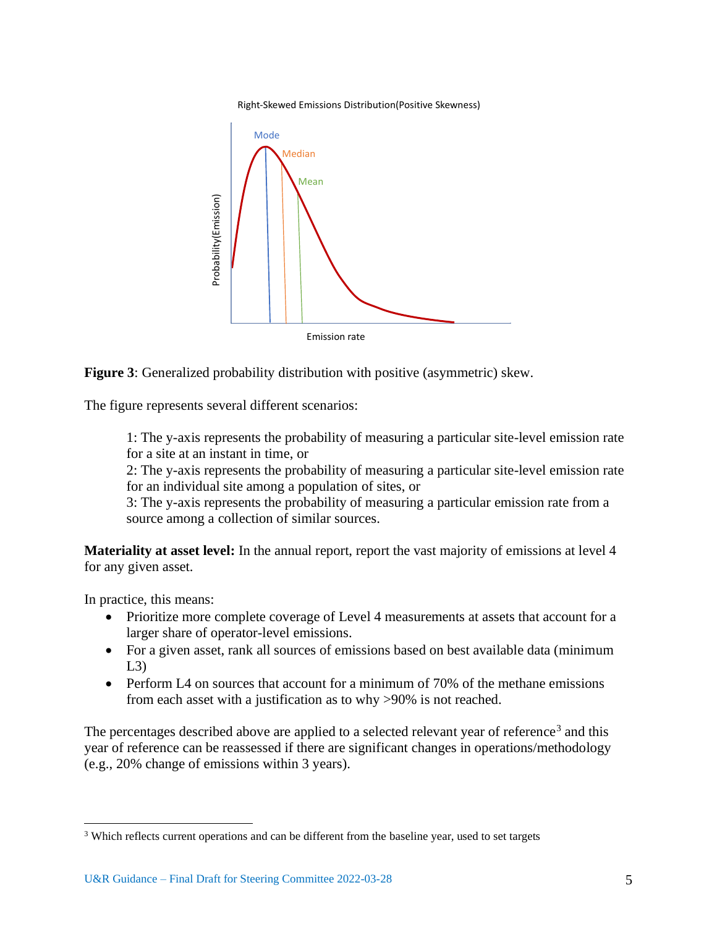



**Figure 3**: Generalized probability distribution with positive (asymmetric) skew.

The figure represents several different scenarios:

1: The y-axis represents the probability of measuring a particular site-level emission rate for a site at an instant in time, or

2: The y-axis represents the probability of measuring a particular site-level emission rate for an individual site among a population of sites, or

3: The y-axis represents the probability of measuring a particular emission rate from a source among a collection of similar sources.

**Materiality at asset level:** In the annual report, report the vast majority of emissions at level 4 for any given asset.

In practice, this means:

- Prioritize more complete coverage of Level 4 measurements at assets that account for a larger share of operator-level emissions.
- For a given asset, rank all sources of emissions based on best available data (minimum  $L3$
- Perform L4 on sources that account for a minimum of 70% of the methane emissions from each asset with a justification as to why >90% is not reached.

The percentages described above are applied to a selected relevant year of reference<sup>3</sup> and this year of reference can be reassessed if there are significant changes in operations/methodology (e.g., 20% change of emissions within 3 years).

<sup>&</sup>lt;sup>3</sup> Which reflects current operations and can be different from the baseline year, used to set targets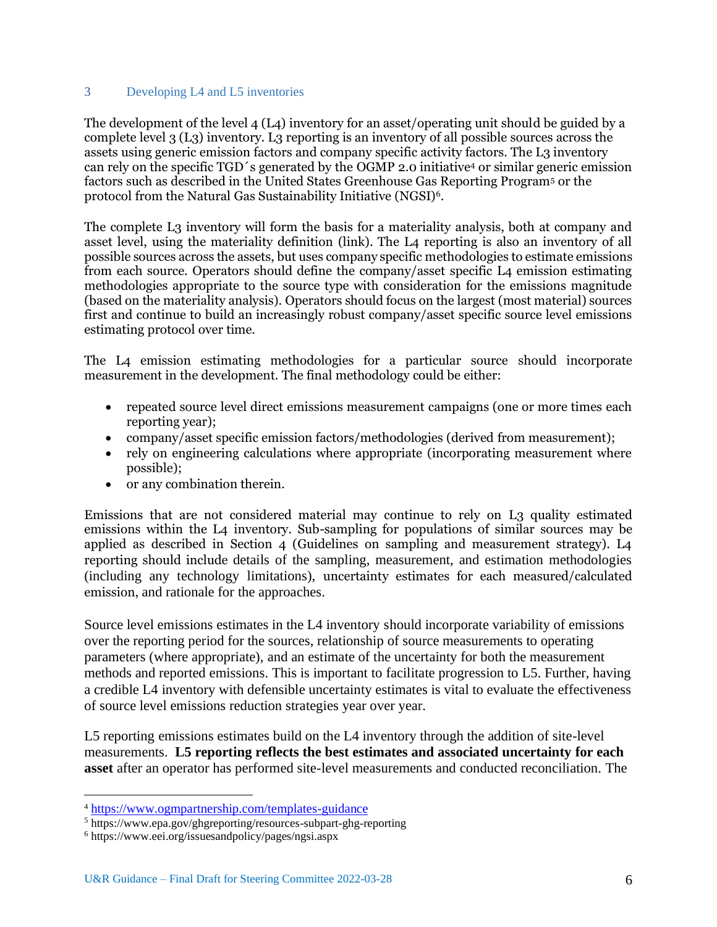### 3 Developing L4 and L5 inventories

The development of the level  $4(L4)$  inventory for an asset/operating unit should be guided by a complete level 3 (L3) inventory. L3 reporting is an inventory of all possible sources across the assets using generic emission factors and company specific activity factors. The L3 inventory can rely on the specific TGD´s generated by the OGMP 2.0 initiative<sup>4</sup> or similar generic emission factors such as described in the United States Greenhouse Gas Reporting Program<sup>5</sup> or the protocol from the Natural Gas Sustainability Initiative (NGSI)<sup>6</sup> .

The complete L3 inventory will form the basis for a materiality analysis, both at company and asset level, using the materiality definition (link). The L4 reporting is also an inventory of all possible sources across the assets, but uses company specific methodologies to estimate emissions from each source. Operators should define the company/asset specific L4 emission estimating methodologies appropriate to the source type with consideration for the emissions magnitude (based on the materiality analysis). Operators should focus on the largest (most material) sources first and continue to build an increasingly robust company/asset specific source level emissions estimating protocol over time.

The L4 emission estimating methodologies for a particular source should incorporate measurement in the development. The final methodology could be either:

- repeated source level direct emissions measurement campaigns (one or more times each reporting year);
- company/asset specific emission factors/methodologies (derived from measurement);
- rely on engineering calculations where appropriate (incorporating measurement where possible);
- or any combination therein.

Emissions that are not considered material may continue to rely on L3 quality estimated emissions within the L4 inventory. Sub-sampling for populations of similar sources may be applied as described in Section 4 (Guidelines on sampling and measurement strategy). L4 reporting should include details of the sampling, measurement, and estimation methodologies (including any technology limitations), uncertainty estimates for each measured/calculated emission, and rationale for the approaches.

Source level emissions estimates in the L4 inventory should incorporate variability of emissions over the reporting period for the sources, relationship of source measurements to operating parameters (where appropriate), and an estimate of the uncertainty for both the measurement methods and reported emissions. This is important to facilitate progression to L5. Further, having a credible L4 inventory with defensible uncertainty estimates is vital to evaluate the effectiveness of source level emissions reduction strategies year over year.

L5 reporting emissions estimates build on the L4 inventory through the addition of site-level measurements. **L5 reporting reflects the best estimates and associated uncertainty for each asset** after an operator has performed site-level measurements and conducted reconciliation. The

<sup>4</sup> <https://www.ogmpartnership.com/templates-guidance>

<sup>5</sup> https://www.epa.gov/ghgreporting/resources-subpart-ghg-reporting

<sup>6</sup> https://www.eei.org/issuesandpolicy/pages/ngsi.aspx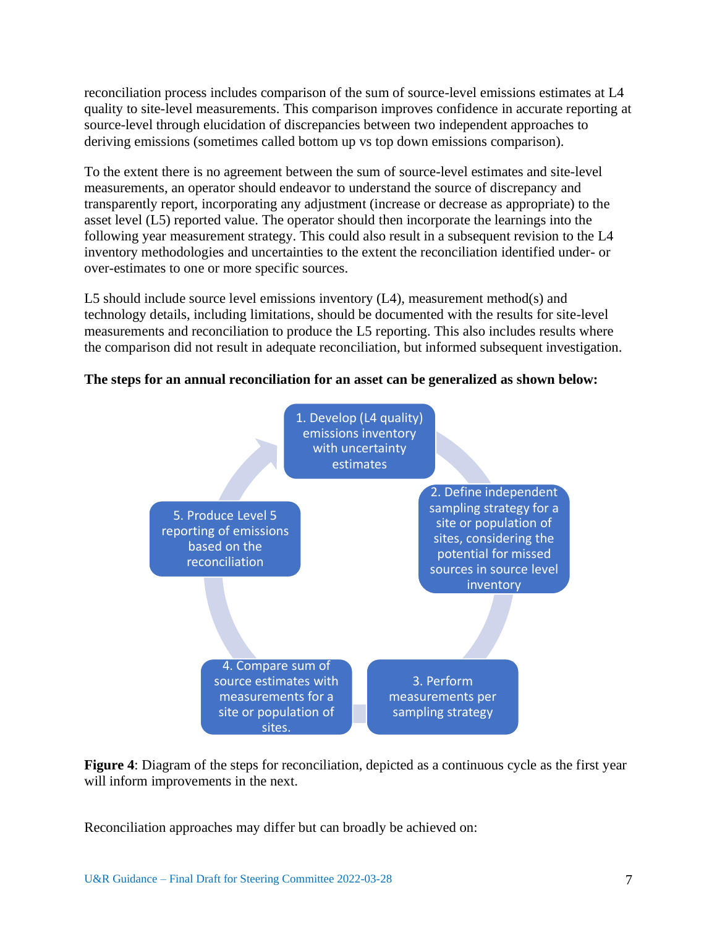reconciliation process includes comparison of the sum of source-level emissions estimates at L4 quality to site-level measurements. This comparison improves confidence in accurate reporting at source-level through elucidation of discrepancies between two independent approaches to deriving emissions (sometimes called bottom up vs top down emissions comparison).

To the extent there is no agreement between the sum of source-level estimates and site-level measurements, an operator should endeavor to understand the source of discrepancy and transparently report, incorporating any adjustment (increase or decrease as appropriate) to the asset level (L5) reported value. The operator should then incorporate the learnings into the following year measurement strategy. This could also result in a subsequent revision to the L4 inventory methodologies and uncertainties to the extent the reconciliation identified under- or over-estimates to one or more specific sources.

L5 should include source level emissions inventory (L4), measurement method(s) and technology details, including limitations, should be documented with the results for site-level measurements and reconciliation to produce the L5 reporting. This also includes results where the comparison did not result in adequate reconciliation, but informed subsequent investigation.

# **The steps for an annual reconciliation for an asset can be generalized as shown below:**



**Figure 4**: Diagram of the steps for reconciliation, depicted as a continuous cycle as the first year will inform improvements in the next.

Reconciliation approaches may differ but can broadly be achieved on: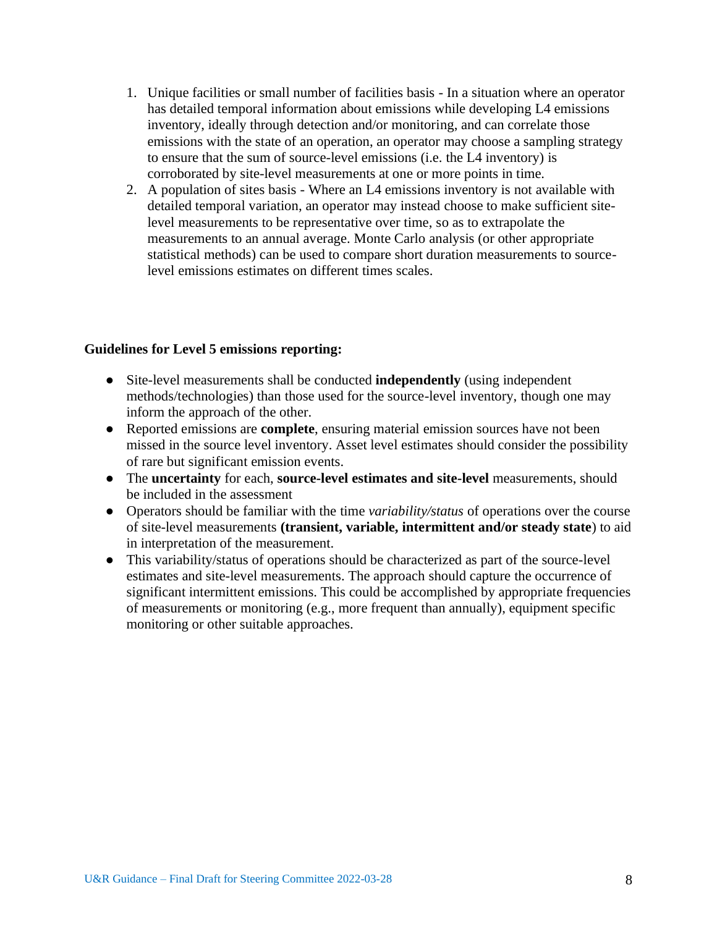- 1. Unique facilities or small number of facilities basis In a situation where an operator has detailed temporal information about emissions while developing L4 emissions inventory, ideally through detection and/or monitoring, and can correlate those emissions with the state of an operation, an operator may choose a sampling strategy to ensure that the sum of source-level emissions (i.e. the L4 inventory) is corroborated by site-level measurements at one or more points in time.
- 2. A population of sites basis Where an L4 emissions inventory is not available with detailed temporal variation, an operator may instead choose to make sufficient sitelevel measurements to be representative over time, so as to extrapolate the measurements to an annual average. Monte Carlo analysis (or other appropriate statistical methods) can be used to compare short duration measurements to sourcelevel emissions estimates on different times scales.

## **Guidelines for Level 5 emissions reporting:**

- Site-level measurements shall be conducted **independently** (using independent methods/technologies) than those used for the source-level inventory, though one may inform the approach of the other.
- Reported emissions are **complete**, ensuring material emission sources have not been missed in the source level inventory. Asset level estimates should consider the possibility of rare but significant emission events.
- The **uncertainty** for each, **source-level estimates and site-level** measurements, should be included in the assessment
- Operators should be familiar with the time *variability/status* of operations over the course of site-level measurements **(transient, variable, intermittent and/or steady state**) to aid in interpretation of the measurement.
- This variability/status of operations should be characterized as part of the source-level estimates and site-level measurements. The approach should capture the occurrence of significant intermittent emissions. This could be accomplished by appropriate frequencies of measurements or monitoring (e.g., more frequent than annually), equipment specific monitoring or other suitable approaches.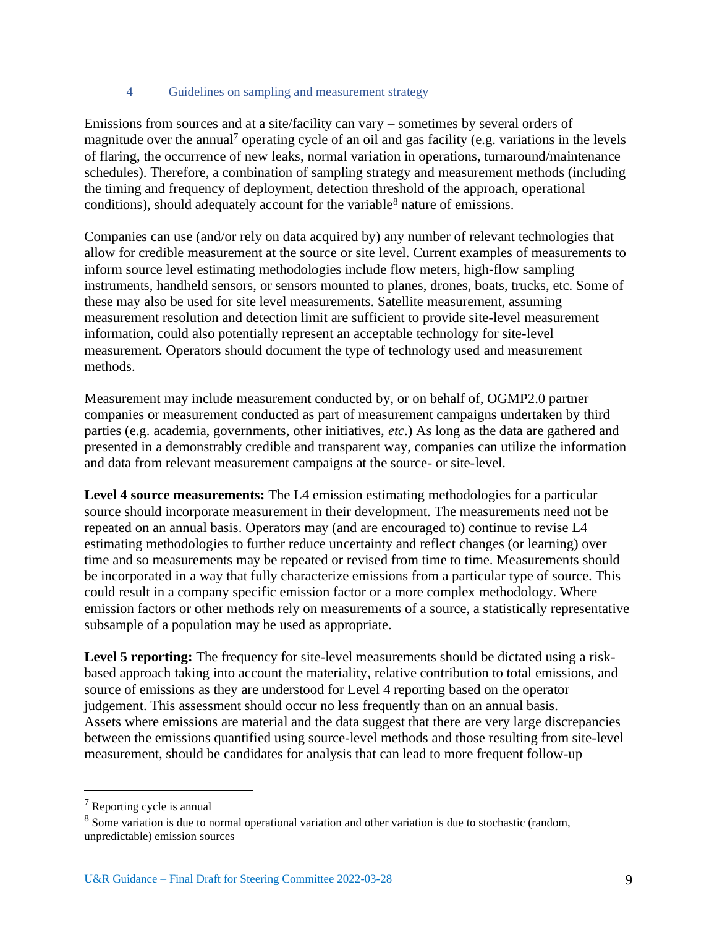### 4 Guidelines on sampling and measurement strategy

Emissions from sources and at a site/facility can vary – sometimes by several orders of magnitude over the annual<sup>7</sup> operating cycle of an oil and gas facility (e.g. variations in the levels of flaring, the occurrence of new leaks, normal variation in operations, turnaround/maintenance schedules). Therefore, a combination of sampling strategy and measurement methods (including the timing and frequency of deployment, detection threshold of the approach, operational conditions), should adequately account for the variable<sup>8</sup> nature of emissions.

Companies can use (and/or rely on data acquired by) any number of relevant technologies that allow for credible measurement at the source or site level. Current examples of measurements to inform source level estimating methodologies include flow meters, high-flow sampling instruments, handheld sensors, or sensors mounted to planes, drones, boats, trucks, etc. Some of these may also be used for site level measurements. Satellite measurement, assuming measurement resolution and detection limit are sufficient to provide site-level measurement information, could also potentially represent an acceptable technology for site-level measurement. Operators should document the type of technology used and measurement methods.

Measurement may include measurement conducted by, or on behalf of, OGMP2.0 partner companies or measurement conducted as part of measurement campaigns undertaken by third parties (e.g. academia, governments, other initiatives, *etc*.) As long as the data are gathered and presented in a demonstrably credible and transparent way, companies can utilize the information and data from relevant measurement campaigns at the source- or site-level.

**Level 4 source measurements:** The L4 emission estimating methodologies for a particular source should incorporate measurement in their development. The measurements need not be repeated on an annual basis. Operators may (and are encouraged to) continue to revise L4 estimating methodologies to further reduce uncertainty and reflect changes (or learning) over time and so measurements may be repeated or revised from time to time. Measurements should be incorporated in a way that fully characterize emissions from a particular type of source. This could result in a company specific emission factor or a more complex methodology. Where emission factors or other methods rely on measurements of a source, a statistically representative subsample of a population may be used as appropriate.

**Level 5 reporting:** The frequency for site-level measurements should be dictated using a riskbased approach taking into account the materiality, relative contribution to total emissions, and source of emissions as they are understood for Level 4 reporting based on the operator judgement. This assessment should occur no less frequently than on an annual basis. Assets where emissions are material and the data suggest that there are very large discrepancies between the emissions quantified using source-level methods and those resulting from site-level measurement, should be candidates for analysis that can lead to more frequent follow-up

<sup>7</sup> Reporting cycle is annual

<sup>8</sup> Some variation is due to normal operational variation and other variation is due to stochastic (random, unpredictable) emission sources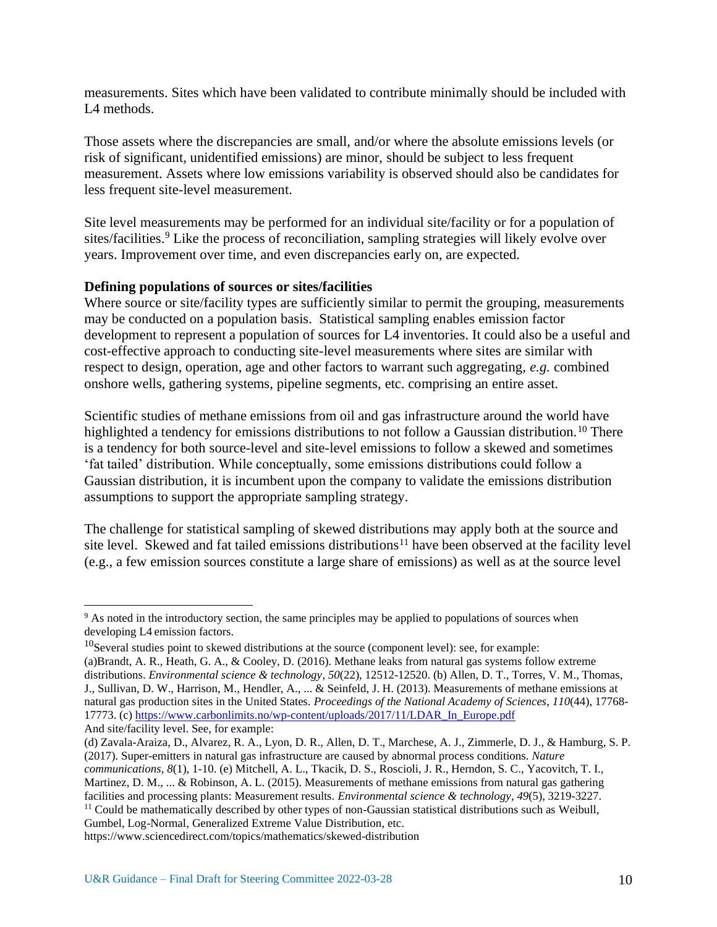measurements. Sites which have been validated to contribute minimally should be included with L<sub>4</sub> methods.

Those assets where the discrepancies are small, and/or where the absolute emissions levels (or risk of significant, unidentified emissions) are minor, should be subject to less frequent measurement. Assets where low emissions variability is observed should also be candidates for less frequent site-level measurement.

Site level measurements may be performed for an individual site/facility or for a population of sites/facilities.<sup>9</sup> Like the process of reconciliation, sampling strategies will likely evolve over years. Improvement over time, and even discrepancies early on, are expected.

# **Defining populations of sources or sites/facilities**

Where source or site/facility types are sufficiently similar to permit the grouping, measurements may be conducted on a population basis. Statistical sampling enables emission factor development to represent a population of sources for L4 inventories. It could also be a useful and cost-effective approach to conducting site-level measurements where sites are similar with respect to design, operation, age and other factors to warrant such aggregating, *e.g.* combined onshore wells, gathering systems, pipeline segments, etc. comprising an entire asset.

Scientific studies of methane emissions from oil and gas infrastructure around the world have highlighted a tendency for emissions distributions to not follow a Gaussian distribution.<sup>10</sup> There is a tendency for both source-level and site-level emissions to follow a skewed and sometimes 'fat tailed' distribution. While conceptually, some emissions distributions could follow a Gaussian distribution, it is incumbent upon the company to validate the emissions distribution assumptions to support the appropriate sampling strategy.

The challenge for statistical sampling of skewed distributions may apply both at the source and site level. Skewed and fat tailed emissions distributions<sup>11</sup> have been observed at the facility level (e.g., a few emission sources constitute a large share of emissions) as well as at the source level

*communications*, *8*(1), 1-10. (e) Mitchell, A. L., Tkacik, D. S., Roscioli, J. R., Herndon, S. C., Yacovitch, T. I., Martinez, D. M., ... & Robinson, A. L. (2015). Measurements of methane emissions from natural gas gathering

facilities and processing plants: Measurement results. *Environmental science & technology*, *49*(5), 3219-3227.

<sup>11</sup> Could be mathematically described by other types of non-Gaussian statistical distributions such as Weibull, Gumbel, Log-Normal, Generalized Extreme Value Distribution, etc.

https://www.sciencedirect.com/topics/mathematics/skewed-distribution

<sup>&</sup>lt;sup>9</sup> As noted in the introductory section, the same principles may be applied to populations of sources when developing L4 emission factors.

<sup>&</sup>lt;sup>10</sup>Several studies point to skewed distributions at the source (component level): see, for example:

<sup>(</sup>a)Brandt, A. R., Heath, G. A., & Cooley, D. (2016). Methane leaks from natural gas systems follow extreme distributions. *Environmental science & technology*, *50*(22), 12512-12520. (b) Allen, D. T., Torres, V. M., Thomas, J., Sullivan, D. W., Harrison, M., Hendler, A., ... & Seinfeld, J. H. (2013). Measurements of methane emissions at natural gas production sites in the United States. *Proceedings of the National Academy of Sciences*, *110*(44), 17768- 17773. (c[\) https://www.carbonlimits.no/wp-content/uploads/2017/11/LDAR\\_In\\_Europe.pdf](https://www.carbonlimits.no/wp-content/uploads/2017/11/LDAR_In_Europe.pdf) And site/facility level. See, for example:

<sup>(</sup>d) Zavala-Araiza, D., Alvarez, R. A., Lyon, D. R., Allen, D. T., Marchese, A. J., Zimmerle, D. J., & Hamburg, S. P. (2017). Super-emitters in natural gas infrastructure are caused by abnormal process conditions. *Nature*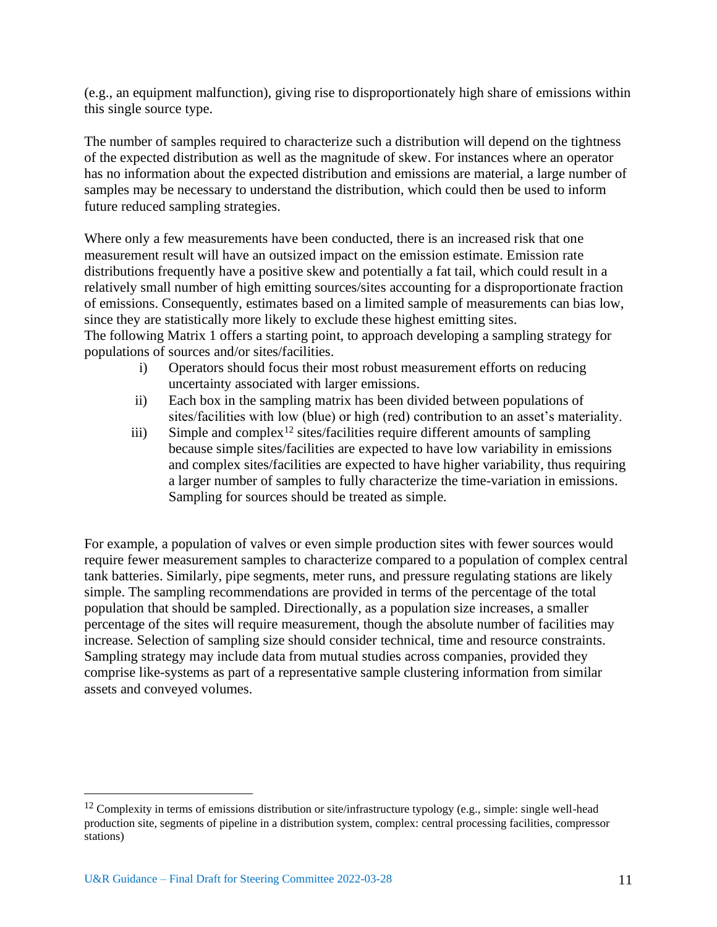(e.g., an equipment malfunction), giving rise to disproportionately high share of emissions within this single source type.

The number of samples required to characterize such a distribution will depend on the tightness of the expected distribution as well as the magnitude of skew. For instances where an operator has no information about the expected distribution and emissions are material, a large number of samples may be necessary to understand the distribution, which could then be used to inform future reduced sampling strategies.

Where only a few measurements have been conducted, there is an increased risk that one measurement result will have an outsized impact on the emission estimate. Emission rate distributions frequently have a positive skew and potentially a fat tail, which could result in a relatively small number of high emitting sources/sites accounting for a disproportionate fraction of emissions. Consequently, estimates based on a limited sample of measurements can bias low, since they are statistically more likely to exclude these highest emitting sites.

The following Matrix 1 offers a starting point, to approach developing a sampling strategy for populations of sources and/or sites/facilities.

- i) Operators should focus their most robust measurement efforts on reducing uncertainty associated with larger emissions.
- ii) Each box in the sampling matrix has been divided between populations of sites/facilities with low (blue) or high (red) contribution to an asset's materiality.
- iii) Simple and complex<sup>12</sup> sites/facilities require different amounts of sampling because simple sites/facilities are expected to have low variability in emissions and complex sites/facilities are expected to have higher variability, thus requiring a larger number of samples to fully characterize the time-variation in emissions. Sampling for sources should be treated as simple.

For example, a population of valves or even simple production sites with fewer sources would require fewer measurement samples to characterize compared to a population of complex central tank batteries. Similarly, pipe segments, meter runs, and pressure regulating stations are likely simple. The sampling recommendations are provided in terms of the percentage of the total population that should be sampled. Directionally, as a population size increases, a smaller percentage of the sites will require measurement, though the absolute number of facilities may increase. Selection of sampling size should consider technical, time and resource constraints. Sampling strategy may include data from mutual studies across companies, provided they comprise like-systems as part of a representative sample clustering information from similar assets and conveyed volumes.

<sup>&</sup>lt;sup>12</sup> Complexity in terms of emissions distribution or site/infrastructure typology (e.g., simple: single well-head production site, segments of pipeline in a distribution system, complex: central processing facilities, compressor stations)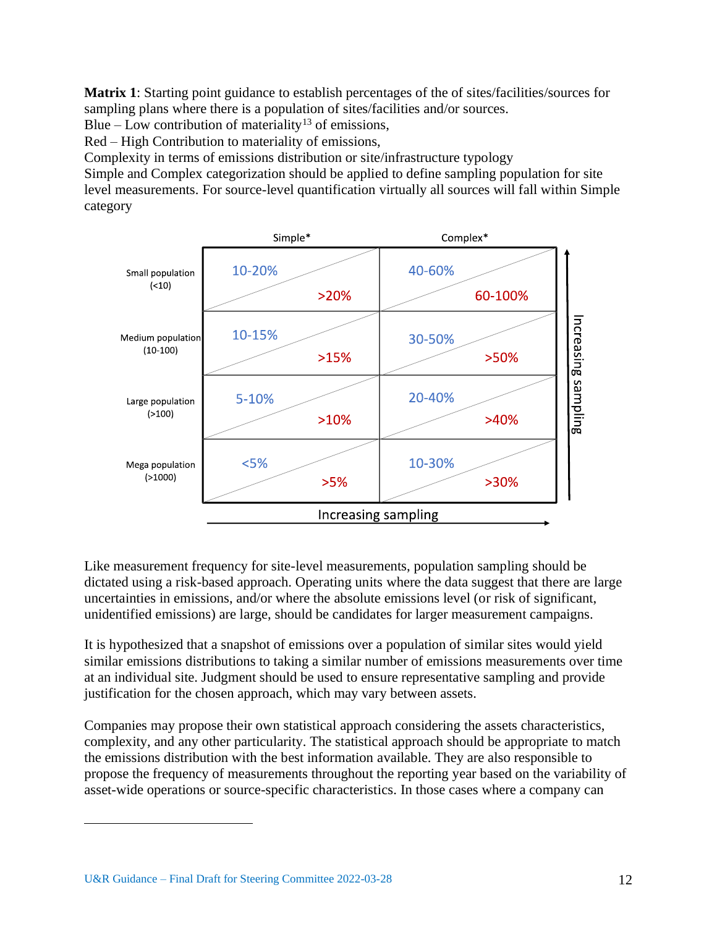**Matrix 1**: Starting point guidance to establish percentages of the of sites/facilities/sources for sampling plans where there is a population of sites/facilities and/or sources.

Blue – Low contribution of materiality<sup>13</sup> of emissions,

Red – High Contribution to materiality of emissions,

Complexity in terms of emissions distribution or site/infrastructure typology

Simple and Complex categorization should be applied to define sampling population for site level measurements. For source-level quantification virtually all sources will fall within Simple category



Like measurement frequency for site-level measurements, population sampling should be dictated using a risk-based approach. Operating units where the data suggest that there are large uncertainties in emissions, and/or where the absolute emissions level (or risk of significant, unidentified emissions) are large, should be candidates for larger measurement campaigns.

It is hypothesized that a snapshot of emissions over a population of similar sites would yield similar emissions distributions to taking a similar number of emissions measurements over time at an individual site. Judgment should be used to ensure representative sampling and provide justification for the chosen approach, which may vary between assets.

Companies may propose their own statistical approach considering the assets characteristics, complexity, and any other particularity. The statistical approach should be appropriate to match the emissions distribution with the best information available. They are also responsible to propose the frequency of measurements throughout the reporting year based on the variability of asset-wide operations or source-specific characteristics. In those cases where a company can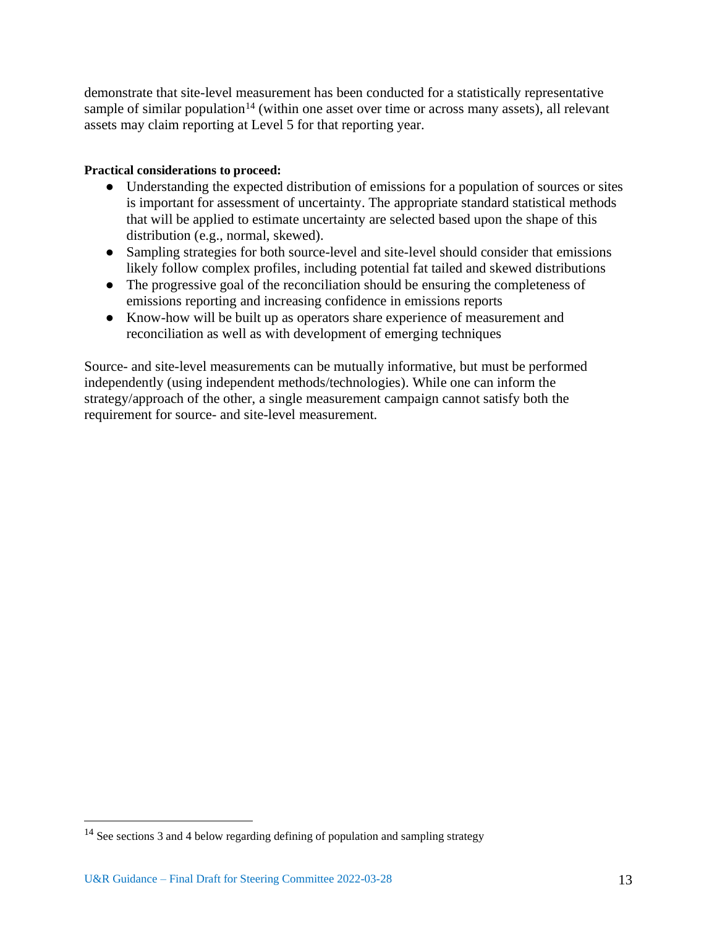demonstrate that site-level measurement has been conducted for a statistically representative sample of similar population<sup>14</sup> (within one asset over time or across many assets), all relevant assets may claim reporting at Level 5 for that reporting year.

# **Practical considerations to proceed:**

- Understanding the expected distribution of emissions for a population of sources or sites is important for assessment of uncertainty. The appropriate standard statistical methods that will be applied to estimate uncertainty are selected based upon the shape of this distribution (e.g., normal, skewed).
- Sampling strategies for both source-level and site-level should consider that emissions likely follow complex profiles, including potential fat tailed and skewed distributions
- The progressive goal of the reconciliation should be ensuring the completeness of emissions reporting and increasing confidence in emissions reports
- Know-how will be built up as operators share experience of measurement and reconciliation as well as with development of emerging techniques

Source- and site-level measurements can be mutually informative, but must be performed independently (using independent methods/technologies). While one can inform the strategy/approach of the other, a single measurement campaign cannot satisfy both the requirement for source- and site-level measurement.

<sup>14</sup> See sections 3 and 4 below regarding defining of population and sampling strategy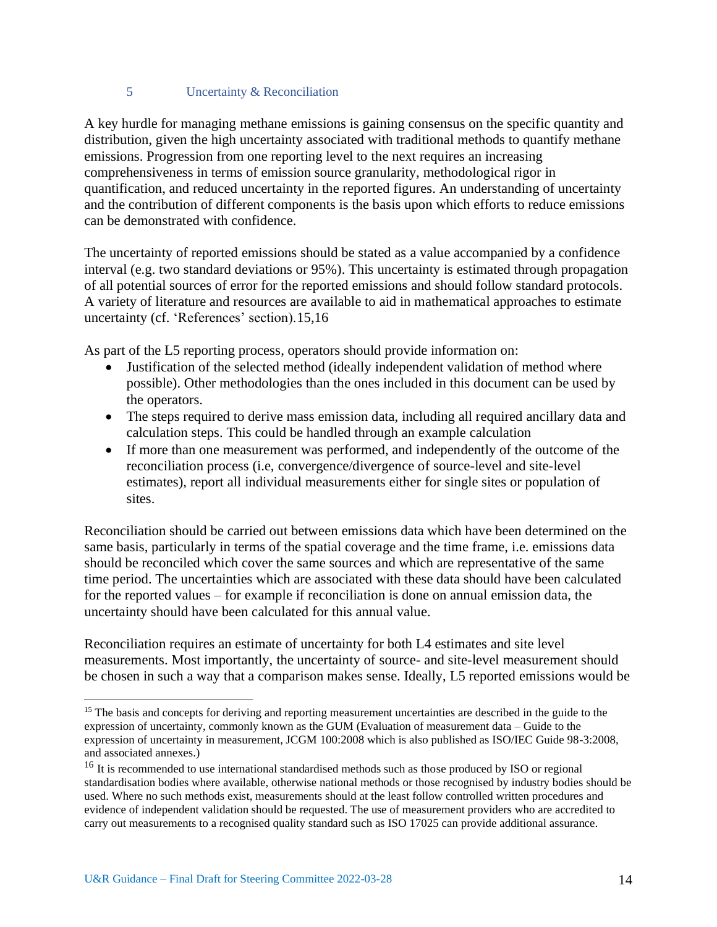## 5 Uncertainty & Reconciliation

A key hurdle for managing methane emissions is gaining consensus on the specific quantity and distribution, given the high uncertainty associated with traditional methods to quantify methane emissions. Progression from one reporting level to the next requires an increasing comprehensiveness in terms of emission source granularity, methodological rigor in quantification, and reduced uncertainty in the reported figures. An understanding of uncertainty and the contribution of different components is the basis upon which efforts to reduce emissions can be demonstrated with confidence.

The uncertainty of reported emissions should be stated as a value accompanied by a confidence interval (e.g. two standard deviations or 95%). This uncertainty is estimated through propagation of all potential sources of error for the reported emissions and should follow standard protocols. A variety of literature and resources are available to aid in mathematical approaches to estimate uncertainty (cf. 'References' section).15,16

As part of the L5 reporting process, operators should provide information on:

- Justification of the selected method (ideally independent validation of method where possible). Other methodologies than the ones included in this document can be used by the operators.
- The steps required to derive mass emission data, including all required ancillary data and calculation steps. This could be handled through an example calculation
- If more than one measurement was performed, and independently of the outcome of the reconciliation process (i.e, convergence/divergence of source-level and site-level estimates), report all individual measurements either for single sites or population of sites.

Reconciliation should be carried out between emissions data which have been determined on the same basis, particularly in terms of the spatial coverage and the time frame, i.e. emissions data should be reconciled which cover the same sources and which are representative of the same time period. The uncertainties which are associated with these data should have been calculated for the reported values – for example if reconciliation is done on annual emission data, the uncertainty should have been calculated for this annual value.

Reconciliation requires an estimate of uncertainty for both L4 estimates and site level measurements. Most importantly, the uncertainty of source- and site-level measurement should be chosen in such a way that a comparison makes sense. Ideally, L5 reported emissions would be

<sup>&</sup>lt;sup>15</sup> The basis and concepts for deriving and reporting measurement uncertainties are described in the guide to the expression of uncertainty, commonly known as the GUM (Evaluation of measurement data – Guide to the expression of uncertainty in measurement, JCGM 100:2008 which is also published as ISO/IEC Guide 98-3:2008, and associated annexes.)

<sup>&</sup>lt;sup>16</sup> It is recommended to use international standardised methods such as those produced by ISO or regional standardisation bodies where available, otherwise national methods or those recognised by industry bodies should be used. Where no such methods exist, measurements should at the least follow controlled written procedures and evidence of independent validation should be requested. The use of measurement providers who are accredited to carry out measurements to a recognised quality standard such as ISO 17025 can provide additional assurance.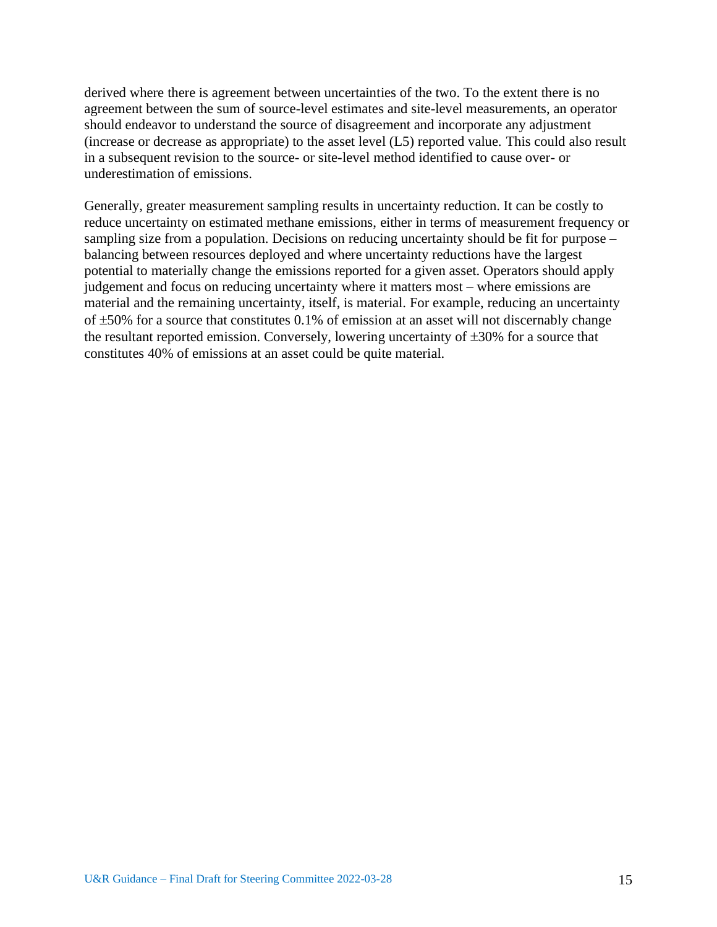derived where there is agreement between uncertainties of the two. To the extent there is no agreement between the sum of source-level estimates and site-level measurements, an operator should endeavor to understand the source of disagreement and incorporate any adjustment (increase or decrease as appropriate) to the asset level (L5) reported value. This could also result in a subsequent revision to the source- or site-level method identified to cause over- or underestimation of emissions.

Generally, greater measurement sampling results in uncertainty reduction. It can be costly to reduce uncertainty on estimated methane emissions, either in terms of measurement frequency or sampling size from a population. Decisions on reducing uncertainty should be fit for purpose – balancing between resources deployed and where uncertainty reductions have the largest potential to materially change the emissions reported for a given asset. Operators should apply judgement and focus on reducing uncertainty where it matters most – where emissions are material and the remaining uncertainty, itself, is material. For example, reducing an uncertainty of  $\pm 50\%$  for a source that constitutes 0.1% of emission at an asset will not discernably change the resultant reported emission. Conversely, lowering uncertainty of  $\pm 30\%$  for a source that constitutes 40% of emissions at an asset could be quite material.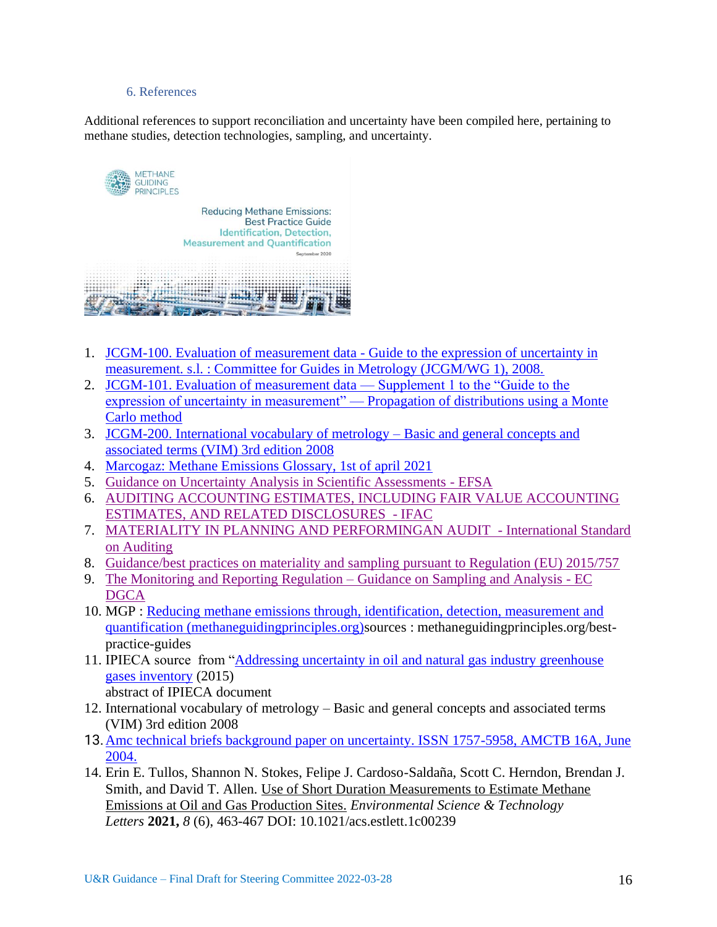#### 6. References

Additional references to support reconciliation and uncertainty have been compiled here, pertaining to methane studies, detection technologies, sampling, and uncertainty.



- 1. [JCGM-100. Evaluation of measurement data -](https://www.bipm.org/documents/20126/2071204/JCGM_100_2008_E.pdf/cb0ef43f-baa5-11cf-3f85-4dcd86f77bd6) Guide to the expression of uncertainty in [measurement. s.l. : Committee for Guides in Metrology \(JCGM/WG 1\), 2008.](https://www.bipm.org/documents/20126/2071204/JCGM_100_2008_E.pdf/cb0ef43f-baa5-11cf-3f85-4dcd86f77bd6)
- 2. [JCGM-101. Evaluation of measurement data](https://www.bipm.org/documents/20126/2071204/JCGM_101_2008_E.pdf/325dcaad-c15a-407c-1105-8b7f322d651c) Supplement 1 to the "Guide to the [expression of uncertainty in measurement" —](https://www.bipm.org/documents/20126/2071204/JCGM_101_2008_E.pdf/325dcaad-c15a-407c-1105-8b7f322d651c) Propagation of distributions using a Monte [Carlo method](https://www.bipm.org/documents/20126/2071204/JCGM_101_2008_E.pdf/325dcaad-c15a-407c-1105-8b7f322d651c)
- 3. [JCGM-200. International vocabulary of metrology –](about:blank) Basic and general concepts and [associated terms \(VIM\) 3rd edition 2008](about:blank)
- 4. [Marcogaz: Methane Emissions Glossary, 1st of april 2021](https://www.marcogaz.org/publications/methane-emissions-glossary/)
- 5. [Guidance on Uncertainty Analysis in Scientific Assessments -](https://efsa.onlinelibrary.wiley.com/doi/epdf/10.2903/j.efsa.2018.5123) EFSA
- 6. [AUDITING ACCOUNTING ESTIMATES, INCLUDING FAIR VALUE ACCOUNTING](https://www.ifac.org/system/files/downloads/a028-2010-iaasb-handbook-isa-540.pdf)  [ESTIMATES, AND RELATED DISCLOSURES](https://www.ifac.org/system/files/downloads/a028-2010-iaasb-handbook-isa-540.pdf) - IFAC
- 7. [MATERIALITY IN PLANNING AND PERFORMINGAN AUDIT](https://www.ifac.org/system/files/downloads/a018-2010-iaasb-handbook-isa-320.pdf) International Standard [on Auditing](https://www.ifac.org/system/files/downloads/a018-2010-iaasb-handbook-isa-320.pdf)
- 8. [Guidance/best practices on materiality and sampling pursuant to Regulation \(EU\) 2015/757](https://ec.europa.eu/clima/sites/clima/files/transport/shipping/docs/06_guidance_materiality_and_sampling_en.pdf)
- 9. [The Monitoring and Reporting Regulation –](https://ec.europa.eu/clima/sites/clima/files/ets/monitoring/docs/gd5_sampling_analysis_en.pdf) Guidance on Sampling and Analysis EC **[DGCA](https://ec.europa.eu/clima/sites/clima/files/ets/monitoring/docs/gd5_sampling_analysis_en.pdf)**
- 10. MGP : [Reducing methane emissions through, identification, detection, measurement and](https://methaneguidingprinciples.org/best-practice-guides/reducing-methane-emissions-through-identification-detection-measurement-and-quantification/)  [quantification \(methaneguidingprinciples.org\)s](https://methaneguidingprinciples.org/best-practice-guides/reducing-methane-emissions-through-identification-detection-measurement-and-quantification/)ources : methaneguidingprinciples.org/bestpractice-guides
- 11. IPIECA source from ["Addressing uncertainty in oil and natural gas industry greenhouse](https://www.ipieca.org/resources/good-practice/addressing-uncertainty-in-oil-and-natural-gas-industry-greenhouse-gas-inventories-technical-considerations-and-calculation-methods/)  [gases inventory](https://www.ipieca.org/resources/good-practice/addressing-uncertainty-in-oil-and-natural-gas-industry-greenhouse-gas-inventories-technical-considerations-and-calculation-methods/) (2015) abstract of IPIECA document
- 12. International vocabulary of metrology Basic and general concepts and associated terms (VIM) 3rd edition 2008
- 13.[Amc technical briefs background paper on uncertainty. ISSN 1757-5958, AMCTB 16A, June](https://www.rsc.org/images/uncertainty-from-sampling-technical-brief-16A_tcm18-214887.pdf)  [2004.](https://www.rsc.org/images/uncertainty-from-sampling-technical-brief-16A_tcm18-214887.pdf)
- 14. Erin E. Tullos, Shannon N. Stokes, Felipe J. Cardoso-Saldaña, Scott C. Herndon, Brendan J. Smith, and David T. Allen. Use of Short Duration Measurements to Estimate Methane Emissions at Oil and Gas Production Sites. *Environmental Science & Technology Letters* **2021,** *8* (6), 463-467 DOI: 10.1021/acs.estlett.1c00239